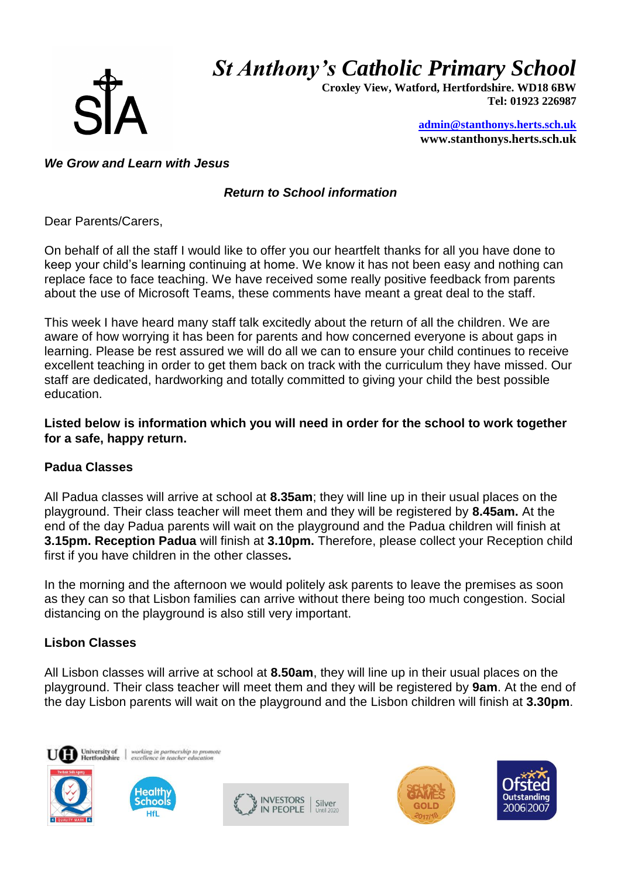*St Anthony's Catholic Primary School*



 **Croxley View, Watford, Hertfordshire. WD18 6BW Tel: 01923 226987** 

> **[admin@stanthonys.herts.sch.uk](mailto:admin.stanthonys@thegrid.org.uk) www.stanthonys.herts.sch.uk**

### *We Grow and Learn with Jesus*

# *Return to School information*

Dear Parents/Carers,

On behalf of all the staff I would like to offer you our heartfelt thanks for all you have done to keep your child's learning continuing at home. We know it has not been easy and nothing can replace face to face teaching. We have received some really positive feedback from parents about the use of Microsoft Teams, these comments have meant a great deal to the staff.

This week I have heard many staff talk excitedly about the return of all the children. We are aware of how worrying it has been for parents and how concerned everyone is about gaps in learning. Please be rest assured we will do all we can to ensure your child continues to receive excellent teaching in order to get them back on track with the curriculum they have missed. Our staff are dedicated, hardworking and totally committed to giving your child the best possible education.

#### **Listed below is information which you will need in order for the school to work together for a safe, happy return.**

# **Padua Classes**

All Padua classes will arrive at school at **8.35am**; they will line up in their usual places on the playground. Their class teacher will meet them and they will be registered by **8.45am.** At the end of the day Padua parents will wait on the playground and the Padua children will finish at **3.15pm. Reception Padua** will finish at **3.10pm.** Therefore, please collect your Reception child first if you have children in the other classes**.** 

In the morning and the afternoon we would politely ask parents to leave the premises as soon as they can so that Lisbon families can arrive without there being too much congestion. Social distancing on the playground is also still very important.

### **Lisbon Classes**

All Lisbon classes will arrive at school at **8.50am**, they will line up in their usual places on the playground. Their class teacher will meet them and they will be registered by **9am**. At the end of the day Lisbon parents will wait on the playground and the Lisbon children will finish at **3.30pm**.





working in partnership to pron<br>excellence in teacher educatio





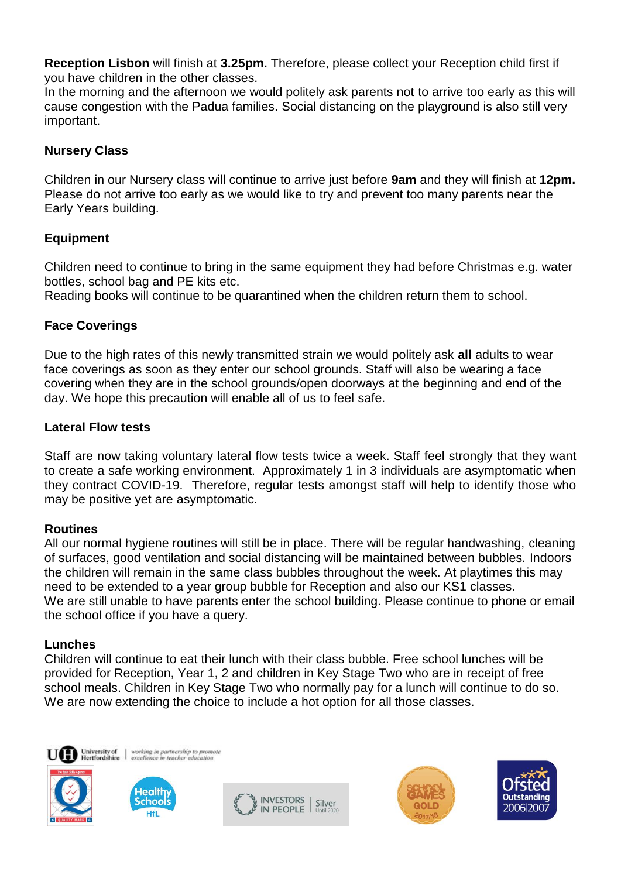**Reception Lisbon** will finish at **3.25pm.** Therefore, please collect your Reception child first if you have children in the other classes.

In the morning and the afternoon we would politely ask parents not to arrive too early as this will cause congestion with the Padua families. Social distancing on the playground is also still very important.

## **Nursery Class**

Children in our Nursery class will continue to arrive just before **9am** and they will finish at **12pm.** Please do not arrive too early as we would like to try and prevent too many parents near the Early Years building.

## **Equipment**

Children need to continue to bring in the same equipment they had before Christmas e.g. water bottles, school bag and PE kits etc.

Reading books will continue to be quarantined when the children return them to school.

### **Face Coverings**

Due to the high rates of this newly transmitted strain we would politely ask **all** adults to wear face coverings as soon as they enter our school grounds. Staff will also be wearing a face covering when they are in the school grounds/open doorways at the beginning and end of the day. We hope this precaution will enable all of us to feel safe.

### **Lateral Flow tests**

Staff are now taking voluntary lateral flow tests twice a week. Staff feel strongly that they want to create a safe working environment. Approximately 1 in 3 individuals are asymptomatic when they contract COVID-19. Therefore, regular tests amongst staff will help to identify those who may be positive yet are asymptomatic.

### **Routines**

All our normal hygiene routines will still be in place. There will be regular handwashing, cleaning of surfaces, good ventilation and social distancing will be maintained between bubbles. Indoors the children will remain in the same class bubbles throughout the week. At playtimes this may need to be extended to a year group bubble for Reception and also our KS1 classes. We are still unable to have parents enter the school building. Please continue to phone or email the school office if you have a query.

### **Lunches**

Children will continue to eat their lunch with their class bubble. Free school lunches will be provided for Reception, Year 1, 2 and children in Key Stage Two who are in receipt of free school meals. Children in Key Stage Two who normally pay for a lunch will continue to do so. We are now extending the choice to include a hot option for all those classes.





working in partnership to prom<br>excellence in teacher education